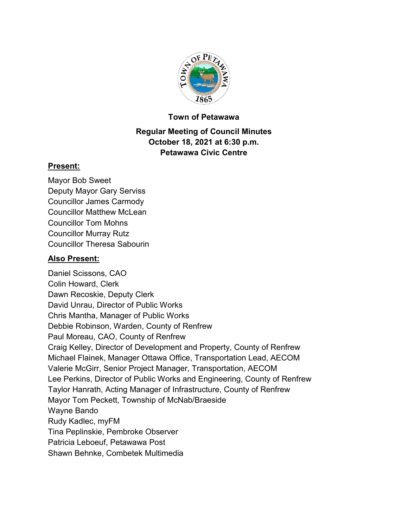

#### **Town of Petawawa**

# **Regular Meeting of Council Minutes October 18, 2021 at 6:30 p.m. Petawawa Civic Centre**

#### **Present:**

Mayor Bob Sweet Deputy Mayor Gary Serviss Councillor James Carmody Councillor Matthew McLean Councillor Tom Mohns Councillor Murray Rutz Councillor Theresa Sabourin

## **Also Present:**

Daniel Scissons, CAO Colin Howard, Clerk Dawn Recoskie, Deputy Clerk David Unrau, Director of Public Works Chris Mantha, Manager of Public Works Debbie Robinson, Warden, County of Renfrew Paul Moreau, CAO, County of Renfrew Craig Kelley, Director of Development and Property, County of Renfrew Michael Flainek, Manager Ottawa Office, Transportation Lead, AECOM Valerie McGirr, Senior Project Manager, Transportation, AECOM Lee Perkins, Director of Public Works and Engineering, County of Renfrew Taylor Hanrath, Acting Manager of Infrastructure, County of Renfrew Mayor Tom Peckett, Township of McNab/Braeside Wayne Bando Rudy Kadlec, myFM Tina Peplinskie, Pembroke Observer Patricia Leboeuf, Petawawa Post Shawn Behnke, Combetek Multimedia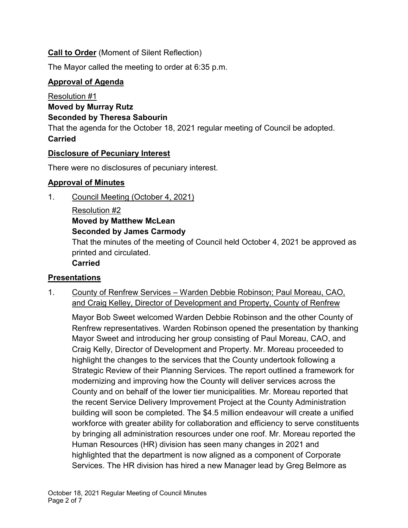# **Call to Order** (Moment of Silent Reflection)

The Mayor called the meeting to order at 6:35 p.m.

# **Approval of Agenda**

Resolution #1 **Moved by Murray Rutz Seconded by Theresa Sabourin** That the agenda for the October 18, 2021 regular meeting of Council be adopted. **Carried**

# **Disclosure of Pecuniary Interest**

There were no disclosures of pecuniary interest.

# **Approval of Minutes**

1. Council Meeting (October 4, 2021)

Resolution #2 **Moved by Matthew McLean Seconded by James Carmody**

That the minutes of the meeting of Council held October 4, 2021 be approved as printed and circulated.

# **Carried**

# **Presentations**

1. County of Renfrew Services – Warden Debbie Robinson; Paul Moreau, CAO, and Craig Kelley, Director of Development and Property, County of Renfrew

Mayor Bob Sweet welcomed Warden Debbie Robinson and the other County of Renfrew representatives. Warden Robinson opened the presentation by thanking Mayor Sweet and introducing her group consisting of Paul Moreau, CAO, and Craig Kelly, Director of Development and Property. Mr. Moreau proceeded to highlight the changes to the services that the County undertook following a Strategic Review of their Planning Services. The report outlined a framework for modernizing and improving how the County will deliver services across the County and on behalf of the lower tier municipalities. Mr. Moreau reported that the recent Service Delivery Improvement Project at the County Administration building will soon be completed. The \$4.5 million endeavour will create a unified workforce with greater ability for collaboration and efficiency to serve constituents by bringing all administration resources under one roof. Mr. Moreau reported the Human Resources (HR) division has seen many changes in 2021 and highlighted that the department is now aligned as a component of Corporate Services. The HR division has hired a new Manager lead by Greg Belmore as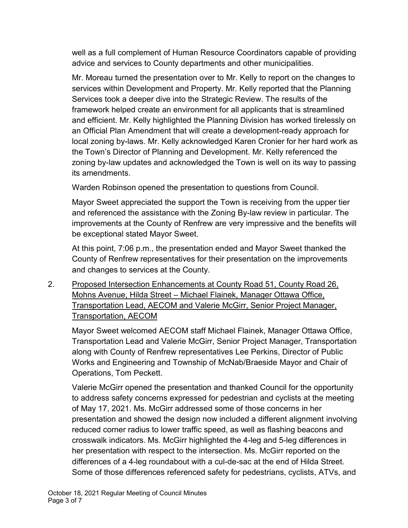well as a full complement of Human Resource Coordinators capable of providing advice and services to County departments and other municipalities.

Mr. Moreau turned the presentation over to Mr. Kelly to report on the changes to services within Development and Property. Mr. Kelly reported that the Planning Services took a deeper dive into the Strategic Review. The results of the framework helped create an environment for all applicants that is streamlined and efficient. Mr. Kelly highlighted the Planning Division has worked tirelessly on an Official Plan Amendment that will create a development-ready approach for local zoning by-laws. Mr. Kelly acknowledged Karen Cronier for her hard work as the Town's Director of Planning and Development. Mr. Kelly referenced the zoning by-law updates and acknowledged the Town is well on its way to passing its amendments.

Warden Robinson opened the presentation to questions from Council.

Mayor Sweet appreciated the support the Town is receiving from the upper tier and referenced the assistance with the Zoning By-law review in particular. The improvements at the County of Renfrew are very impressive and the benefits will be exceptional stated Mayor Sweet.

At this point, 7:06 p.m., the presentation ended and Mayor Sweet thanked the County of Renfrew representatives for their presentation on the improvements and changes to services at the County.

2. Proposed Intersection Enhancements at County Road 51, County Road 26, Mohns Avenue, Hilda Street – Michael Flainek, Manager Ottawa Office, Transportation Lead, AECOM and Valerie McGirr, Senior Project Manager, Transportation, AECOM

Mayor Sweet welcomed AECOM staff Michael Flainek, Manager Ottawa Office, Transportation Lead and Valerie McGirr, Senior Project Manager, Transportation along with County of Renfrew representatives Lee Perkins, Director of Public Works and Engineering and Township of McNab/Braeside Mayor and Chair of Operations, Tom Peckett.

Valerie McGirr opened the presentation and thanked Council for the opportunity to address safety concerns expressed for pedestrian and cyclists at the meeting of May 17, 2021. Ms. McGirr addressed some of those concerns in her presentation and showed the design now included a different alignment involving reduced corner radius to lower traffic speed, as well as flashing beacons and crosswalk indicators. Ms. McGirr highlighted the 4-leg and 5-leg differences in her presentation with respect to the intersection. Ms. McGirr reported on the differences of a 4-leg roundabout with a cul-de-sac at the end of Hilda Street. Some of those differences referenced safety for pedestrians, cyclists, ATVs, and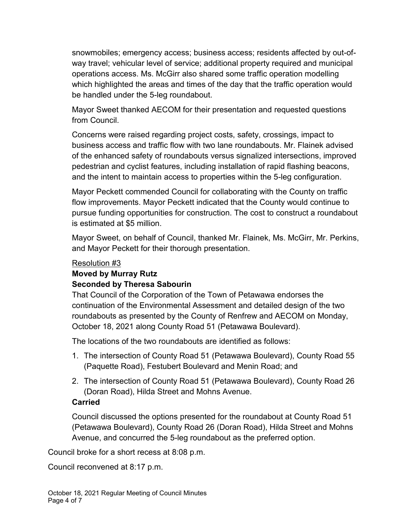snowmobiles; emergency access; business access; residents affected by out-ofway travel; vehicular level of service; additional property required and municipal operations access. Ms. McGirr also shared some traffic operation modelling which highlighted the areas and times of the day that the traffic operation would be handled under the 5-leg roundabout.

Mayor Sweet thanked AECOM for their presentation and requested questions from Council.

Concerns were raised regarding project costs, safety, crossings, impact to business access and traffic flow with two lane roundabouts. Mr. Flainek advised of the enhanced safety of roundabouts versus signalized intersections, improved pedestrian and cyclist features, including installation of rapid flashing beacons, and the intent to maintain access to properties within the 5-leg configuration.

Mayor Peckett commended Council for collaborating with the County on traffic flow improvements. Mayor Peckett indicated that the County would continue to pursue funding opportunities for construction. The cost to construct a roundabout is estimated at \$5 million.

Mayor Sweet, on behalf of Council, thanked Mr. Flainek, Ms. McGirr, Mr. Perkins, and Mayor Peckett for their thorough presentation.

#### Resolution #3

# **Moved by Murray Rutz**

## **Seconded by Theresa Sabourin**

That Council of the Corporation of the Town of Petawawa endorses the continuation of the Environmental Assessment and detailed design of the two roundabouts as presented by the County of Renfrew and AECOM on Monday, October 18, 2021 along County Road 51 (Petawawa Boulevard).

The locations of the two roundabouts are identified as follows:

- 1. The intersection of County Road 51 (Petawawa Boulevard), County Road 55 (Paquette Road), Festubert Boulevard and Menin Road; and
- 2. The intersection of County Road 51 (Petawawa Boulevard), County Road 26 (Doran Road), Hilda Street and Mohns Avenue.

# **Carried**

Council discussed the options presented for the roundabout at County Road 51 (Petawawa Boulevard), County Road 26 (Doran Road), Hilda Street and Mohns Avenue, and concurred the 5-leg roundabout as the preferred option.

Council broke for a short recess at 8:08 p.m.

Council reconvened at 8:17 p.m.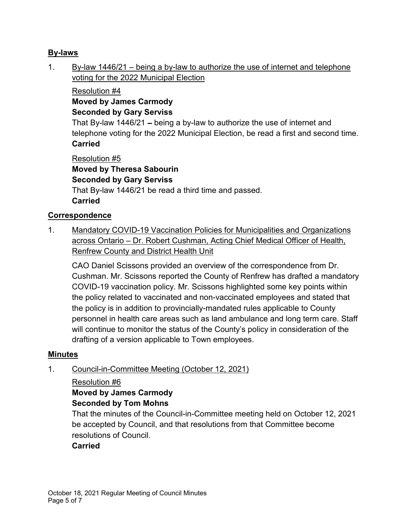## **By-laws**

1. By-law 1446/21 – being a by-law to authorize the use of internet and telephone voting for the 2022 Municipal Election

## Resolution #4 **Moved by James Carmody Seconded by Gary Serviss**

That By-law 1446/21 – being a by-law to authorize the use of internet and telephone voting for the 2022 Municipal Election, be read a first and second time. **Carried**

Resolution #5 **Moved by Theresa Sabourin Seconded by Gary Serviss** That By-law 1446/21 be read a third time and passed. **Carried**

## **Correspondence**

1. Mandatory COVID-19 Vaccination Policies for Municipalities and Organizations across Ontario – Dr. Robert Cushman, Acting Chief Medical Officer of Health, Renfrew County and District Health Unit

CAO Daniel Scissons provided an overview of the correspondence from Dr. Cushman. Mr. Scissons reported the County of Renfrew has drafted a mandatory COVID-19 vaccination policy. Mr. Scissons highlighted some key points within the policy related to vaccinated and non-vaccinated employees and stated that the policy is in addition to provincially-mandated rules applicable to County personnel in health care areas such as land ambulance and long term care. Staff will continue to monitor the status of the County's policy in consideration of the drafting of a version applicable to Town employees.

#### **Minutes**

1. Council-in-Committee Meeting (October 12, 2021)

#### Resolution #6

# **Moved by James Carmody**

#### **Seconded by Tom Mohns**

That the minutes of the Council-in-Committee meeting held on October 12, 2021 be accepted by Council, and that resolutions from that Committee become resolutions of Council.

#### **Carried**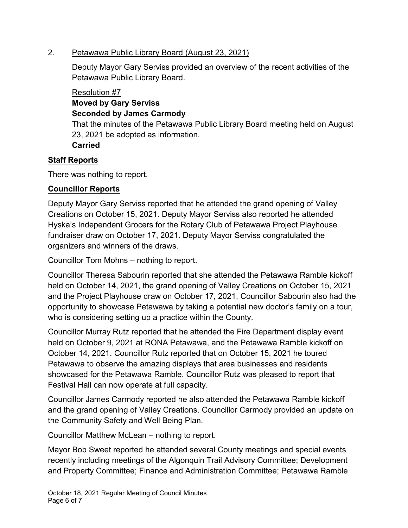## 2. Petawawa Public Library Board (August 23, 2021)

Deputy Mayor Gary Serviss provided an overview of the recent activities of the Petawawa Public Library Board.

# Resolution #7

#### **Moved by Gary Serviss Seconded by James Carmody**

That the minutes of the Petawawa Public Library Board meeting held on August 23, 2021 be adopted as information. **Carried**

# **Staff Reports**

There was nothing to report.

# **Councillor Reports**

Deputy Mayor Gary Serviss reported that he attended the grand opening of Valley Creations on October 15, 2021. Deputy Mayor Serviss also reported he attended Hyska's Independent Grocers for the Rotary Club of Petawawa Project Playhouse fundraiser draw on October 17, 2021. Deputy Mayor Serviss congratulated the organizers and winners of the draws.

Councillor Tom Mohns – nothing to report.

Councillor Theresa Sabourin reported that she attended the Petawawa Ramble kickoff held on October 14, 2021, the grand opening of Valley Creations on October 15, 2021 and the Project Playhouse draw on October 17, 2021. Councillor Sabourin also had the opportunity to showcase Petawawa by taking a potential new doctor's family on a tour, who is considering setting up a practice within the County.

Councillor Murray Rutz reported that he attended the Fire Department display event held on October 9, 2021 at RONA Petawawa, and the Petawawa Ramble kickoff on October 14, 2021. Councillor Rutz reported that on October 15, 2021 he toured Petawawa to observe the amazing displays that area businesses and residents showcased for the Petawawa Ramble. Councillor Rutz was pleased to report that Festival Hall can now operate at full capacity.

Councillor James Carmody reported he also attended the Petawawa Ramble kickoff and the grand opening of Valley Creations. Councillor Carmody provided an update on the Community Safety and Well Being Plan.

Councillor Matthew McLean – nothing to report.

Mayor Bob Sweet reported he attended several County meetings and special events recently including meetings of the Algonquin Trail Advisory Committee; Development and Property Committee; Finance and Administration Committee; Petawawa Ramble